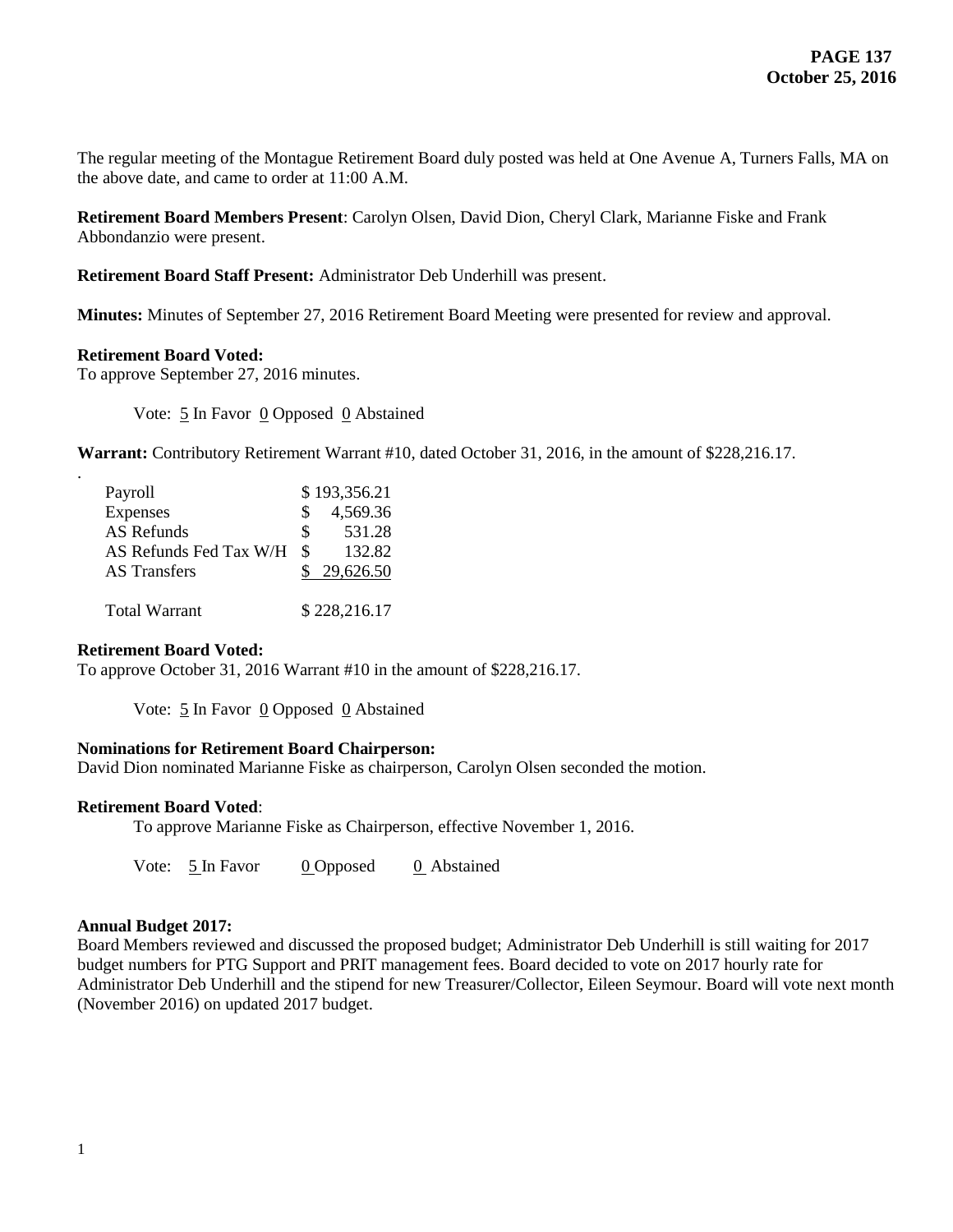The regular meeting of the Montague Retirement Board duly posted was held at One Avenue A, Turners Falls, MA on the above date, and came to order at 11:00 A.M.

**Retirement Board Members Present**: Carolyn Olsen, David Dion, Cheryl Clark, Marianne Fiske and Frank Abbondanzio were present.

**Retirement Board Staff Present:** Administrator Deb Underhill was present.

**Minutes:** Minutes of September 27, 2016 Retirement Board Meeting were presented for review and approval.

#### **Retirement Board Voted:**

.

To approve September 27, 2016 minutes.

Vote: 5 In Favor 0 Opposed 0 Abstained

**Warrant:** Contributory Retirement Warrant #10, dated October 31, 2016, in the amount of \$228,216.17.

| Payroll                |     | \$193,356.21 |
|------------------------|-----|--------------|
| Expenses               | \$. | 4,569.36     |
| AS Refunds             | SS. | 531.28       |
| AS Refunds Fed Tax W/H | -S  | 132.82       |
| <b>AS</b> Transfers    |     | 29,626.50    |
|                        |     |              |
| <b>Total Warrant</b>   |     | \$228,216.17 |

#### **Retirement Board Voted:**

To approve October 31, 2016 Warrant #10 in the amount of \$228,216.17.

Vote:  $\frac{5}{5}$  In Favor 0 Opposed 0 Abstained

#### **Nominations for Retirement Board Chairperson:**

David Dion nominated Marianne Fiske as chairperson, Carolyn Olsen seconded the motion.

#### **Retirement Board Voted**:

To approve Marianne Fiske as Chairperson, effective November 1, 2016.

Vote: 5 In Favor 0 Opposed 0 Abstained

#### **Annual Budget 2017:**

Board Members reviewed and discussed the proposed budget; Administrator Deb Underhill is still waiting for 2017 budget numbers for PTG Support and PRIT management fees. Board decided to vote on 2017 hourly rate for Administrator Deb Underhill and the stipend for new Treasurer/Collector, Eileen Seymour. Board will vote next month (November 2016) on updated 2017 budget.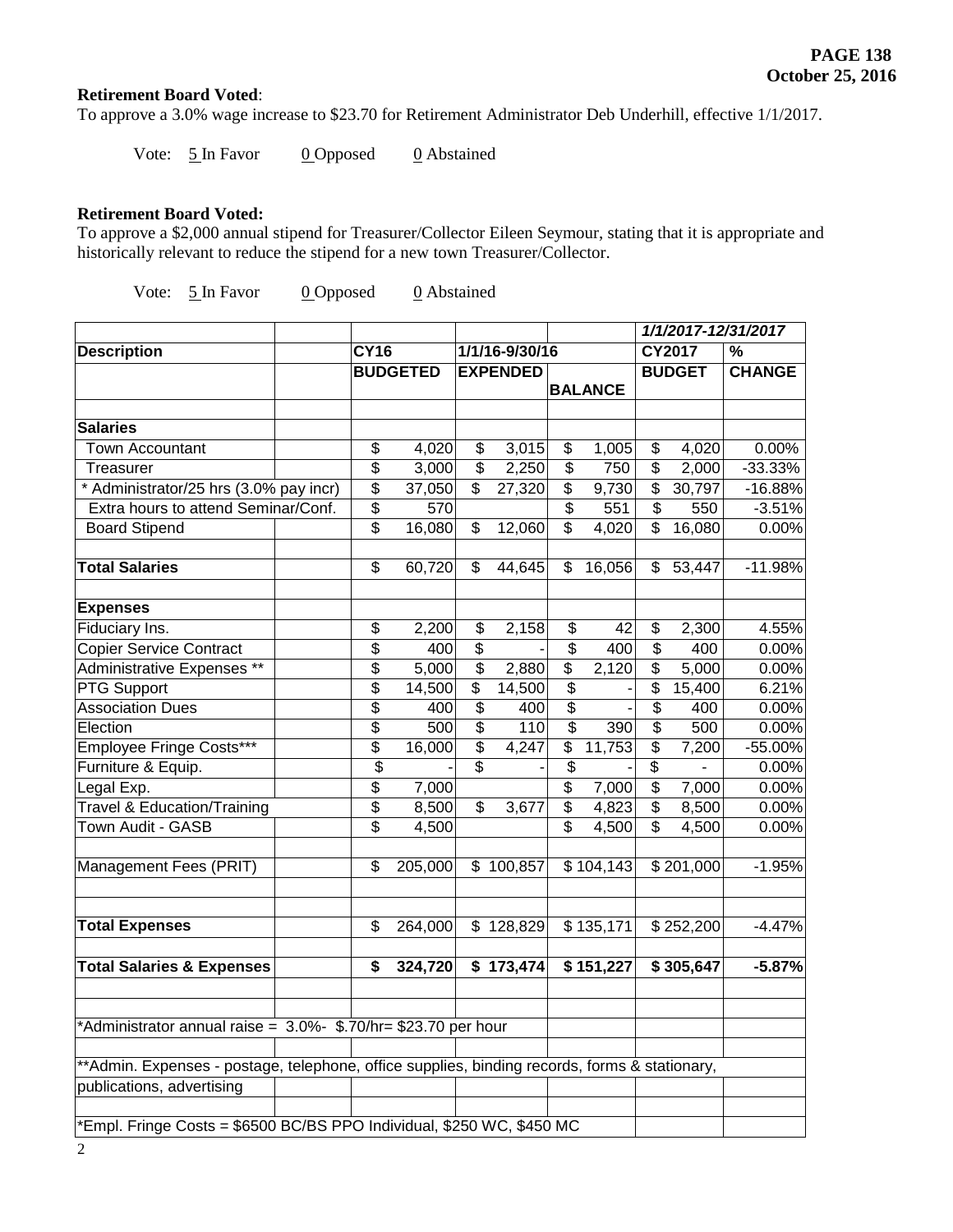# **Retirement Board Voted**:

To approve a 3.0% wage increase to \$23.70 for Retirement Administrator Deb Underhill, effective 1/1/2017.

Vote:  $\frac{5 \text{ In } \text{Favor}}{0 \text{ Opposed}}$  0 Abstained

# **Retirement Board Voted:**

To approve a \$2,000 annual stipend for Treasurer/Collector Eileen Seymour, stating that it is appropriate and historically relevant to reduce the stipend for a new town Treasurer/Collector.

Vote:  $\frac{5 \text{ In } \text{Favor}}{0 \text{ Opposed}}$  0 Abstained

|                                                                                               |  |                                      |                 |                           |                 |                           |                |                          |               | 1/1/2017-12/31/2017 |
|-----------------------------------------------------------------------------------------------|--|--------------------------------------|-----------------|---------------------------|-----------------|---------------------------|----------------|--------------------------|---------------|---------------------|
| <b>Description</b>                                                                            |  | <b>CY16</b>                          |                 |                           | 1/1/16-9/30/16  |                           |                |                          | CY2017        | %                   |
|                                                                                               |  |                                      | <b>BUDGETED</b> |                           | <b>EXPENDED</b> |                           |                |                          | <b>BUDGET</b> | <b>CHANGE</b>       |
|                                                                                               |  |                                      |                 |                           |                 |                           | <b>BALANCE</b> |                          |               |                     |
|                                                                                               |  |                                      |                 |                           |                 |                           |                |                          |               |                     |
| <b>Salaries</b>                                                                               |  |                                      |                 |                           |                 |                           |                |                          |               |                     |
| <b>Town Accountant</b>                                                                        |  | \$                                   | 4,020           | \$                        | 3,015           | \$                        | 1,005          | \$                       | 4,020         | 0.00%               |
| Treasurer                                                                                     |  | \$                                   | 3,000           | \$                        | 2,250           | \$                        | 750            | \$                       | 2,000         | $-33.33%$           |
| * Administrator/25 hrs (3.0% pay incr)                                                        |  | \$                                   | 37,050          | $\overline{\mathfrak{s}}$ | 27,320          | \$                        | 9,730          | \$                       | 30,797        | $-16.88%$           |
| Extra hours to attend Seminar/Conf.                                                           |  | \$                                   | 570             |                           |                 | $\overline{\mathbf{e}}$   | 551            | \$                       | 550           | $-3.51%$            |
| <b>Board Stipend</b>                                                                          |  | \$                                   | 16,080          | \$                        | 12,060          | $\overline{\mathcal{E}}$  | 4,020          | \$                       | 16,080        | 0.00%               |
| <b>Total Salaries</b>                                                                         |  | \$                                   | 60,720          | \$                        | 44,645          | \$                        | 16,056         | \$                       | 53,447        | $-11.98%$           |
| <b>Expenses</b>                                                                               |  |                                      |                 |                           |                 |                           |                |                          |               |                     |
| Fiduciary Ins.                                                                                |  | \$                                   | 2,200           | \$                        | 2,158           | \$                        | 42             | \$                       | 2,300         | 4.55%               |
| <b>Copier Service Contract</b>                                                                |  | \$                                   | 400             | \$                        |                 | $\overline{\mathbf{S}}$   | 400            | \$                       | 400           | 0.00%               |
| Administrative Expenses **                                                                    |  | \$                                   | 5,000           | $\overline{\mathcal{S}}$  | 2,880           | $\overline{\mathfrak{s}}$ | 2,120          | \$                       | 5,000         | 0.00%               |
| <b>PTG Support</b>                                                                            |  | \$                                   | 14,500          | \$                        | 14,500          | \$                        |                | \$                       | 15,400        | 6.21%               |
| <b>Association Dues</b>                                                                       |  | \$                                   | 400             | \$                        | 400             | \$                        |                | \$                       | 400           | 0.00%               |
| Election                                                                                      |  | $\overline{\mathcal{S}}$             | 500             | \$                        | 110             | $\overline{\$}$           | 390            | \$                       | 500           | 0.00%               |
| Employee Fringe Costs***                                                                      |  | \$                                   | 16,000          | \$                        | 4,247           | \$                        | 11,753         | \$                       | 7,200         | -55.00%             |
| Furniture & Equip.                                                                            |  | \$                                   |                 | \$                        |                 | \$                        |                | $\overline{\mathbf{S}}$  |               | 0.00%               |
| Legal Exp.                                                                                    |  | $\overline{\boldsymbol{\mathsf{S}}}$ | 7,000           |                           |                 | \$                        | 7,000          | $\overline{\mathcal{S}}$ | 7,000         | 0.00%               |
| <b>Travel &amp; Education/Training</b>                                                        |  | $\overline{\mathcal{S}}$             | 8,500           | \$                        | 3,677           | $\overline{\mathbf{S}}$   | 4,823          | \$                       | 8,500         | 0.00%               |
| Town Audit - GASB                                                                             |  | \$                                   | 4,500           |                           |                 | $\overline{\mathcal{S}}$  | 4,500          | \$                       | 4,500         | 0.00%               |
| Management Fees (PRIT)                                                                        |  | \$                                   | 205,000         |                           | \$100,857       |                           | \$104,143      |                          | \$201,000     | $-1.95%$            |
| <b>Total Expenses</b>                                                                         |  | \$                                   | 264,000         |                           | \$128,829       |                           | \$135,171      |                          | \$252,200     | $-4.47%$            |
| <b>Total Salaries &amp; Expenses</b>                                                          |  | \$                                   | 324,720         |                           | \$173,474       |                           | \$151,227      |                          | \$305,647     | $-5.87%$            |
| *Administrator annual raise = 3.0%- \$.70/hr= \$23.70 per hour                                |  |                                      |                 |                           |                 |                           |                |                          |               |                     |
| **Admin. Expenses - postage, telephone, office supplies, binding records, forms & stationary, |  |                                      |                 |                           |                 |                           |                |                          |               |                     |
| publications, advertising                                                                     |  |                                      |                 |                           |                 |                           |                |                          |               |                     |
| *Empl. Fringe Costs = \$6500 BC/BS PPO Individual, \$250 WC, \$450 MC                         |  |                                      |                 |                           |                 |                           |                |                          |               |                     |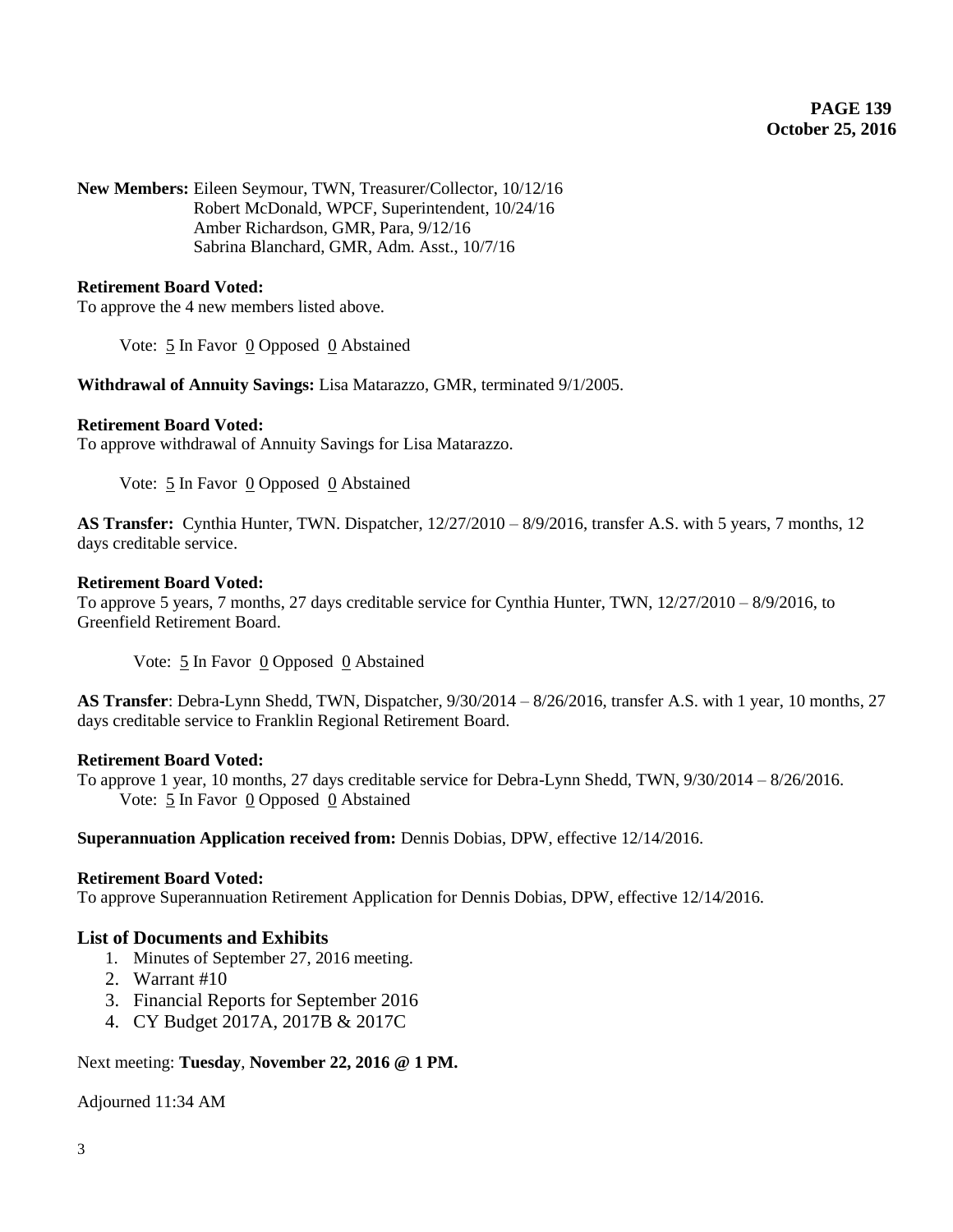**New Members:** Eileen Seymour, TWN, Treasurer/Collector, 10/12/16 Robert McDonald, WPCF, Superintendent, 10/24/16 Amber Richardson, GMR, Para, 9/12/16 Sabrina Blanchard, GMR, Adm. Asst., 10/7/16

# **Retirement Board Voted:**

To approve the 4 new members listed above.

Vote:  $\frac{5}{5}$  In Favor  $\frac{0}{0}$  Opposed  $\frac{0}{0}$  Abstained

**Withdrawal of Annuity Savings:** Lisa Matarazzo, GMR, terminated 9/1/2005.

## **Retirement Board Voted:**

To approve withdrawal of Annuity Savings for Lisa Matarazzo.

Vote:  $5 \text{ In}$  Favor  $0$  Opposed  $0$  Abstained

**AS Transfer:** Cynthia Hunter, TWN. Dispatcher, 12/27/2010 – 8/9/2016, transfer A.S. with 5 years, 7 months, 12 days creditable service.

#### **Retirement Board Voted:**

To approve 5 years, 7 months, 27 days creditable service for Cynthia Hunter, TWN, 12/27/2010 – 8/9/2016, to Greenfield Retirement Board.

Vote: 5 In Favor 0 Opposed 0 Abstained

**AS Transfer**: Debra-Lynn Shedd, TWN, Dispatcher, 9/30/2014 – 8/26/2016, transfer A.S. with 1 year, 10 months, 27 days creditable service to Franklin Regional Retirement Board.

## **Retirement Board Voted:**

To approve 1 year, 10 months, 27 days creditable service for Debra-Lynn Shedd, TWN, 9/30/2014 – 8/26/2016. Vote: 5 In Favor 0 Opposed 0 Abstained

# **Superannuation Application received from:** Dennis Dobias, DPW, effective 12/14/2016.

#### **Retirement Board Voted:**

To approve Superannuation Retirement Application for Dennis Dobias, DPW, effective 12/14/2016.

# **List of Documents and Exhibits**

- 1. Minutes of September 27, 2016 meeting.
- 2. Warrant #10
- 3. Financial Reports for September 2016
- 4. CY Budget 2017A, 2017B & 2017C

# Next meeting: **Tuesday**, **November 22, 2016 @ 1 PM.**

Adjourned 11:34 AM